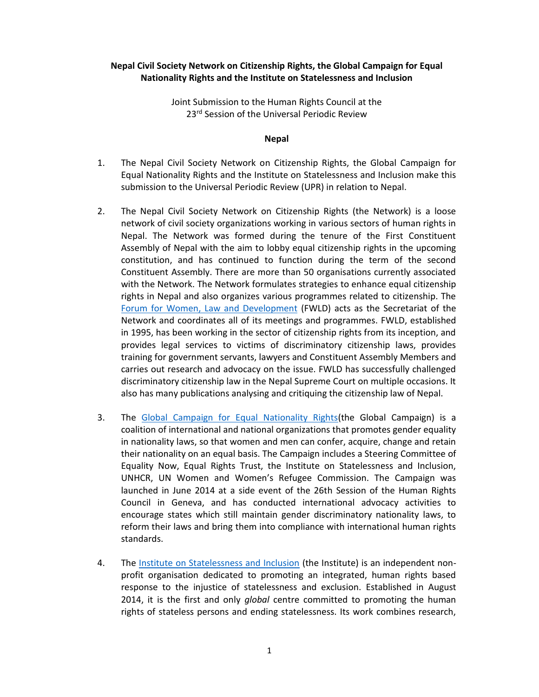# **Nepal Civil Society Network on Citizenship Rights, the Global Campaign for Equal Nationality Rights and the Institute on Statelessness and Inclusion**

Joint Submission to the Human Rights Council at the 23<sup>rd</sup> Session of the Universal Periodic Review

### **Nepal**

- 1. The Nepal Civil Society Network on Citizenship Rights, the Global Campaign for Equal Nationality Rights and the Institute on Statelessness and Inclusion make this submission to the Universal Periodic Review (UPR) in relation to Nepal.
- 2. The Nepal Civil Society Network on Citizenship Rights (the Network) is a loose network of civil society organizations working in various sectors of human rights in Nepal. The Network was formed during the tenure of the First Constituent Assembly of Nepal with the aim to lobby equal citizenship rights in the upcoming constitution, and has continued to function during the term of the second Constituent Assembly. There are more than 50 organisations currently associated with the Network. The Network formulates strategies to enhance equal citizenship rights in Nepal and also organizes various programmes related to citizenship. The Forum for Women, Law and Development (FWLD) acts as the Secretariat of the Network and coordinates all of its meetings and programmes. FWLD, established in 1995, has been working in the sector of citizenship rights from its inception, and provides legal services to victims of discriminatory citizenship laws, provides training for government servants, lawyers and Constituent Assembly Members and carries out research and advocacy on the issue. FWLD has successfully challenged discriminatory citizenship law in the Nepal Supreme Court on multiple occasions. It also has many publications analysing and critiquing the citizenship law of Nepal.
- 3. The Global Campaign for Equal Nationality Rights(the Global Campaign) is a coalition of international and national organizations that promotes gender equality in nationality laws, so that women and men can confer, acquire, change and retain their nationality on an equal basis. The Campaign includes a Steering Committee of Equality Now, Equal Rights Trust, the Institute on Statelessness and Inclusion, UNHCR, UN Women and Women's Refugee Commission. The Campaign was launched in June 2014 at a side event of the 26th Session of the Human Rights Council in Geneva, and has conducted international advocacy activities to encourage states which still maintain gender discriminatory nationality laws, to reform their laws and bring them into compliance with international human rights standards.
- 4. The Institute on Statelessness and Inclusion (the Institute) is an independent nonprofit organisation dedicated to promoting an integrated, human rights based response to the injustice of statelessness and exclusion. Established in August 2014, it is the first and only *global* centre committed to promoting the human rights of stateless persons and ending statelessness. Its work combines research,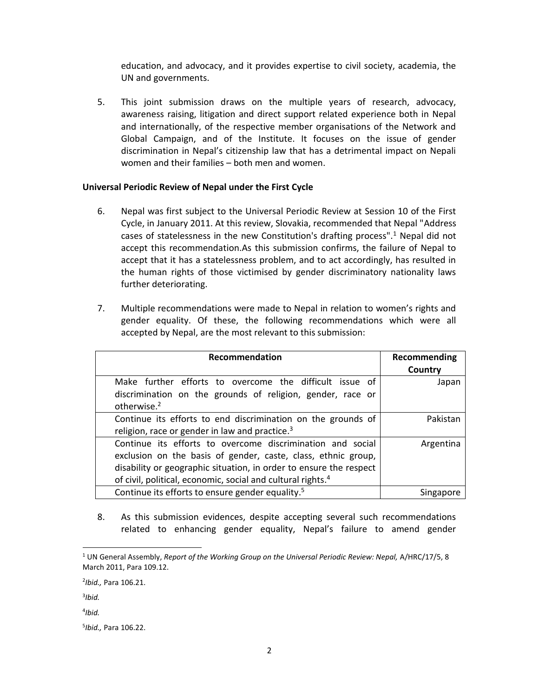education, and advocacy, and it provides expertise to civil society, academia, the UN and governments.

5. This joint submission draws on the multiple years of research, advocacy, awareness raising, litigation and direct support related experience both in Nepal and internationally, of the respective member organisations of the Network and Global Campaign, and of the Institute. It focuses on the issue of gender discrimination in Nepal's citizenship law that has a detrimental impact on Nepali women and their families – both men and women.

### **Universal Periodic Review of Nepal under the First Cycle**

- 6. Nepal was first subject to the Universal Periodic Review at Session 10 of the First Cycle, in January 2011. At this review, Slovakia, recommended that Nepal "Address cases of statelessness in the new Constitution's drafting process".1 Nepal did not accept this recommendation.As this submission confirms, the failure of Nepal to accept that it has a statelessness problem, and to act accordingly, has resulted in the human rights of those victimised by gender discriminatory nationality laws further deteriorating.
- 7. Multiple recommendations were made to Nepal in relation to women's rights and gender equality. Of these, the following recommendations which were all accepted by Nepal, are the most relevant to this submission:

| Recommendation                                                                                                                                                                                                                                                               | Recommending<br>Country |
|------------------------------------------------------------------------------------------------------------------------------------------------------------------------------------------------------------------------------------------------------------------------------|-------------------------|
| Make further efforts to overcome the difficult issue of<br>discrimination on the grounds of religion, gender, race or<br>otherwise. <sup>2</sup>                                                                                                                             | Japan                   |
| Continue its efforts to end discrimination on the grounds of<br>religion, race or gender in law and practice. <sup>3</sup>                                                                                                                                                   | Pakistan                |
| Continue its efforts to overcome discrimination and social<br>exclusion on the basis of gender, caste, class, ethnic group,<br>disability or geographic situation, in order to ensure the respect<br>of civil, political, economic, social and cultural rights. <sup>4</sup> | Argentina               |
| Continue its efforts to ensure gender equality. <sup>5</sup>                                                                                                                                                                                                                 | Singapore               |

8. As this submission evidences, despite accepting several such recommendations related to enhancing gender equality, Nepal's failure to amend gender

- 3 *Ibid.*
- 4 *Ibid.*

<sup>&</sup>lt;sup>1</sup> UN General Assembly, *Report of the Working Group on the Universal Periodic Review: Nepal, A/HRC/17/5, 8* March 2011, Para 109.12.

<sup>2</sup> *Ibid.,* Para 106.21.

<sup>5</sup> *Ibid.,* Para 106.22.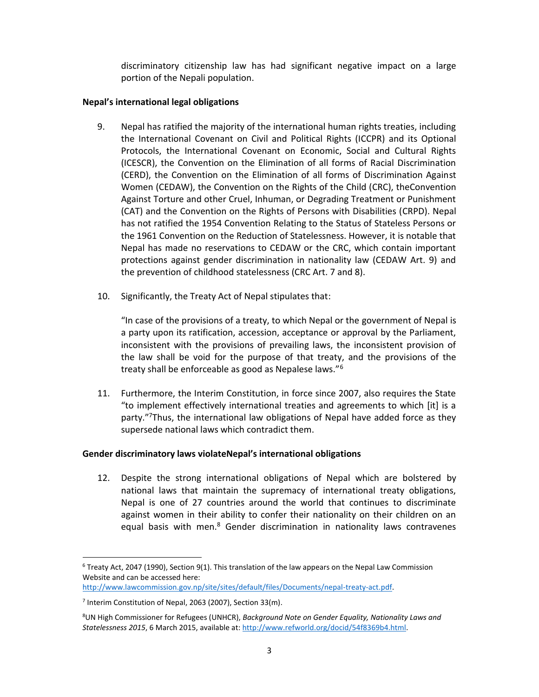discriminatory citizenship law has had significant negative impact on a large portion of the Nepali population.

## **Nepal's international legal obligations**

- 9. Nepal has ratified the majority of the international human rights treaties, including the International Covenant on Civil and Political Rights (ICCPR) and its Optional Protocols, the International Covenant on Economic, Social and Cultural Rights (ICESCR), the Convention on the Elimination of all forms of Racial Discrimination (CERD), the Convention on the Elimination of all forms of Discrimination Against Women (CEDAW), the Convention on the Rights of the Child (CRC), theConvention Against Torture and other Cruel, Inhuman, or Degrading Treatment or Punishment (CAT) and the Convention on the Rights of Persons with Disabilities (CRPD). Nepal has not ratified the 1954 Convention Relating to the Status of Stateless Persons or the 1961 Convention on the Reduction of Statelessness. However, it is notable that Nepal has made no reservations to CEDAW or the CRC, which contain important protections against gender discrimination in nationality law (CEDAW Art. 9) and the prevention of childhood statelessness (CRC Art. 7 and 8).
- 10. Significantly, the Treaty Act of Nepal stipulates that:

"In case of the provisions of a treaty, to which Nepal or the government of Nepal is a party upon its ratification, accession, acceptance or approval by the Parliament, inconsistent with the provisions of prevailing laws, the inconsistent provision of the law shall be void for the purpose of that treaty, and the provisions of the treaty shall be enforceable as good as Nepalese laws."<sup>6</sup>

11. Furthermore, the Interim Constitution, in force since 2007, also requires the State "to implement effectively international treaties and agreements to which [it] is a party."7Thus, the international law obligations of Nepal have added force as they supersede national laws which contradict them.

## **Gender discriminatory laws violateNepal's international obligations**

12. Despite the strong international obligations of Nepal which are bolstered by national laws that maintain the supremacy of international treaty obligations, Nepal is one of 27 countries around the world that continues to discriminate against women in their ability to confer their nationality on their children on an equal basis with men.<sup>8</sup> Gender discrimination in nationality laws contravenes

 $6$  Treaty Act, 2047 (1990), Section 9(1). This translation of the law appears on the Nepal Law Commission Website and can be accessed here:

http://www.lawcommission.gov.np/site/sites/default/files/Documents/nepal-treaty-act.pdf.

<sup>&</sup>lt;sup>7</sup> Interim Constitution of Nepal, 2063 (2007), Section 33(m).

<sup>8</sup> UN High Commissioner for Refugees (UNHCR), *Background Note on Gender Equality, Nationality Laws and Statelessness 2015*, 6 March 2015, available at: http://www.refworld.org/docid/54f8369b4.html.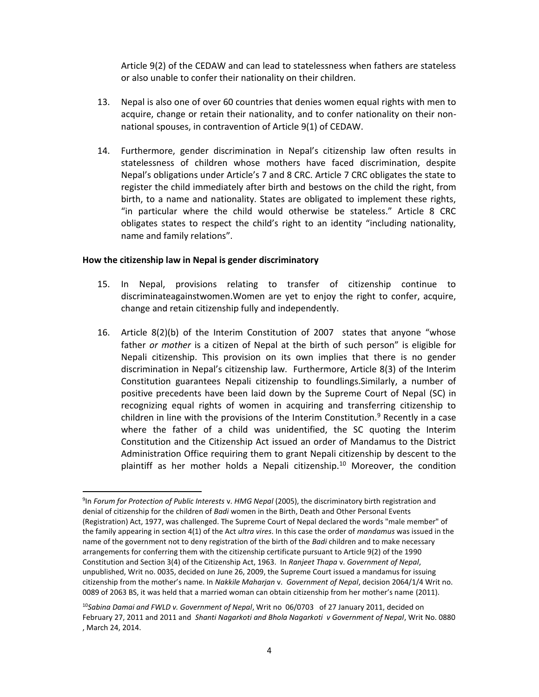Article 9(2) of the CEDAW and can lead to statelessness when fathers are stateless or also unable to confer their nationality on their children.

- 13. Nepal is also one of over 60 countries that denies women equal rights with men to acquire, change or retain their nationality, and to confer nationality on their nonnational spouses, in contravention of Article 9(1) of CEDAW.
- 14. Furthermore, gender discrimination in Nepal's citizenship law often results in statelessness of children whose mothers have faced discrimination, despite Nepal's obligations under Article's 7 and 8 CRC. Article 7 CRC obligates the state to register the child immediately after birth and bestows on the child the right, from birth, to a name and nationality. States are obligated to implement these rights, "in particular where the child would otherwise be stateless." Article 8 CRC obligates states to respect the child's right to an identity "including nationality, name and family relations".

#### **How the citizenship law in Nepal is gender discriminatory**

- 15. In Nepal, provisions relating to transfer of citizenship continue to discriminateagainstwomen.Women are yet to enjoy the right to confer, acquire, change and retain citizenship fully and independently.
- 16. Article 8(2)(b) of the Interim Constitution of 2007 states that anyone "whose father *or mother* is a citizen of Nepal at the birth of such person" is eligible for Nepali citizenship. This provision on its own implies that there is no gender discrimination in Nepal's citizenship law. Furthermore, Article 8(3) of the Interim Constitution guarantees Nepali citizenship to foundlings.Similarly, a number of positive precedents have been laid down by the Supreme Court of Nepal (SC) in recognizing equal rights of women in acquiring and transferring citizenship to children in line with the provisions of the Interim Constitution.<sup>9</sup> Recently in a case where the father of a child was unidentified, the SC quoting the Interim Constitution and the Citizenship Act issued an order of Mandamus to the District Administration Office requiring them to grant Nepali citizenship by descent to the plaintiff as her mother holds a Nepali citizenship.<sup>10</sup> Moreover, the condition

<sup>-&</sup>lt;br>9 In *Forum for Protection of Public Interests* v. *HMG Nepal* (2005), the discriminatory birth registration and denial of citizenship for the children of *Badi* women in the Birth, Death and Other Personal Events (Registration) Act, 1977, was challenged. The Supreme Court of Nepal declared the words "male member" of the family appearing in section 4(1) of the Act *ultra vires*. In this case the order of *mandamus* was issued in the name of the government not to deny registration of the birth of the *Badi* children and to make necessary arrangements for conferring them with the citizenship certificate pursuant to Article 9(2) of the 1990 Constitution and Section 3(4) of the Citizenship Act, 1963. In *Ranjeet Thapa* v. *Government of Nepal*, unpublished, Writ no. 0035, decided on June 26, 2009, the Supreme Court issued a mandamus for issuing citizenship from the mother's name. In *Nakkile Maharjan* v. *Government of Nepal*, decision 2064/1/4 Writ no. 0089 of 2063 BS, it was held that a married woman can obtain citizenship from her mother's name (2011).

<sup>10</sup>*Sabina Damai and FWLD v. Government of Nepal*, Writ no 06/0703 of 27 January 2011, decided on February 27, 2011 and 2011 and *Shanti Nagarkoti and Bhola Nagarkoti v Government of Nepal*, Writ No. 0880 , March 24, 2014.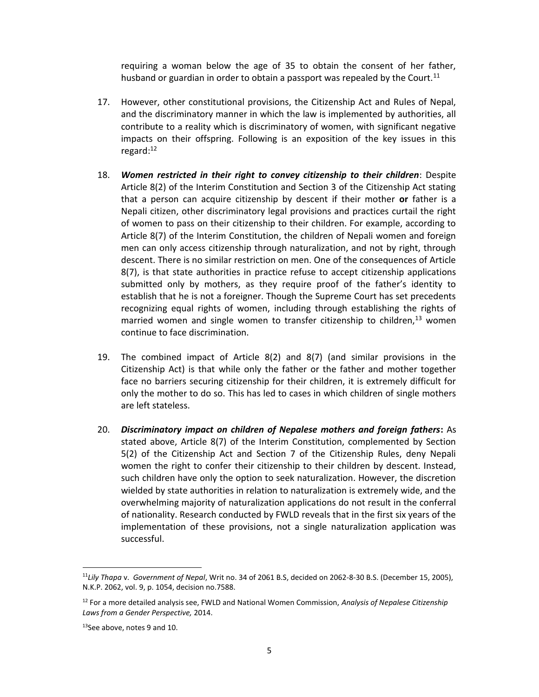requiring a woman below the age of 35 to obtain the consent of her father, husband or guardian in order to obtain a passport was repealed by the Court.<sup>11</sup>

- 17. However, other constitutional provisions, the Citizenship Act and Rules of Nepal, and the discriminatory manner in which the law is implemented by authorities, all contribute to a reality which is discriminatory of women, with significant negative impacts on their offspring. Following is an exposition of the key issues in this regard:12
- 18. *Women restricted in their right to convey citizenship to their children*: Despite Article 8(2) of the Interim Constitution and Section 3 of the Citizenship Act stating that a person can acquire citizenship by descent if their mother **or** father is a Nepali citizen, other discriminatory legal provisions and practices curtail the right of women to pass on their citizenship to their children. For example, according to Article 8(7) of the Interim Constitution, the children of Nepali women and foreign men can only access citizenship through naturalization, and not by right, through descent. There is no similar restriction on men. One of the consequences of Article 8(7), is that state authorities in practice refuse to accept citizenship applications submitted only by mothers, as they require proof of the father's identity to establish that he is not a foreigner. Though the Supreme Court has set precedents recognizing equal rights of women, including through establishing the rights of married women and single women to transfer citizenship to children, $^{13}$  women continue to face discrimination.
- 19. The combined impact of Article 8(2) and 8(7) (and similar provisions in the Citizenship Act) is that while only the father or the father and mother together face no barriers securing citizenship for their children, it is extremely difficult for only the mother to do so. This has led to cases in which children of single mothers are left stateless.
- 20. *Discriminatory impact on children of Nepalese mothers and foreign fathers***:** As stated above, Article 8(7) of the Interim Constitution, complemented by Section 5(2) of the Citizenship Act and Section 7 of the Citizenship Rules, deny Nepali women the right to confer their citizenship to their children by descent. Instead, such children have only the option to seek naturalization. However, the discretion wielded by state authorities in relation to naturalization is extremely wide, and the overwhelming majority of naturalization applications do not result in the conferral of nationality. Research conducted by FWLD reveals that in the first six years of the implementation of these provisions, not a single naturalization application was successful.

 <sup>11</sup>*Lily Thapa* v. *Government of Nepal*, Writ no. 34 of 2061 B.S, decided on 2062-8-30 B.S. (December 15, 2005), N.K.P. 2062, vol. 9, p. 1054, decision no.7588.

<sup>12</sup> For a more detailed analysis see, FWLD and National Women Commission, *Analysis of Nepalese Citizenship Laws from a Gender Perspective,* 2014.

 $13$ See above, notes 9 and 10.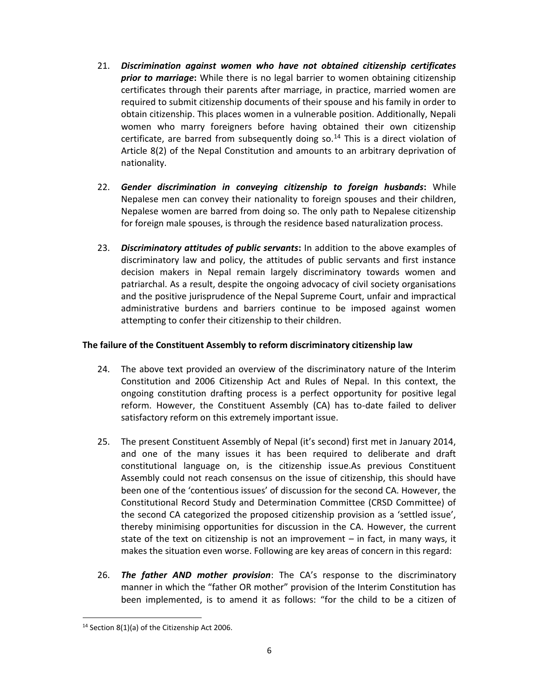- 21. *Discrimination against women who have not obtained citizenship certificates prior to marriage***:** While there is no legal barrier to women obtaining citizenship certificates through their parents after marriage, in practice, married women are required to submit citizenship documents of their spouse and his family in order to obtain citizenship. This places women in a vulnerable position. Additionally, Nepali women who marry foreigners before having obtained their own citizenship certificate, are barred from subsequently doing so.<sup>14</sup> This is a direct violation of Article 8(2) of the Nepal Constitution and amounts to an arbitrary deprivation of nationality.
- 22. *Gender discrimination in conveying citizenship to foreign husbands***:** While Nepalese men can convey their nationality to foreign spouses and their children, Nepalese women are barred from doing so. The only path to Nepalese citizenship for foreign male spouses, is through the residence based naturalization process.
- 23. *Discriminatory attitudes of public servants***:** In addition to the above examples of discriminatory law and policy, the attitudes of public servants and first instance decision makers in Nepal remain largely discriminatory towards women and patriarchal. As a result, despite the ongoing advocacy of civil society organisations and the positive jurisprudence of the Nepal Supreme Court, unfair and impractical administrative burdens and barriers continue to be imposed against women attempting to confer their citizenship to their children.

# **The failure of the Constituent Assembly to reform discriminatory citizenship law**

- 24. The above text provided an overview of the discriminatory nature of the Interim Constitution and 2006 Citizenship Act and Rules of Nepal. In this context, the ongoing constitution drafting process is a perfect opportunity for positive legal reform. However, the Constituent Assembly (CA) has to-date failed to deliver satisfactory reform on this extremely important issue.
- 25. The present Constituent Assembly of Nepal (it's second) first met in January 2014, and one of the many issues it has been required to deliberate and draft constitutional language on, is the citizenship issue.As previous Constituent Assembly could not reach consensus on the issue of citizenship, this should have been one of the 'contentious issues' of discussion for the second CA. However, the Constitutional Record Study and Determination Committee (CRSD Committee) of the second CA categorized the proposed citizenship provision as a 'settled issue', thereby minimising opportunities for discussion in the CA. However, the current state of the text on citizenship is not an improvement – in fact, in many ways, it makes the situation even worse. Following are key areas of concern in this regard:
- 26. *The father AND mother provision*: The CA's response to the discriminatory manner in which the "father OR mother" provision of the Interim Constitution has been implemented, is to amend it as follows: "for the child to be a citizen of

 $14$  Section 8(1)(a) of the Citizenship Act 2006.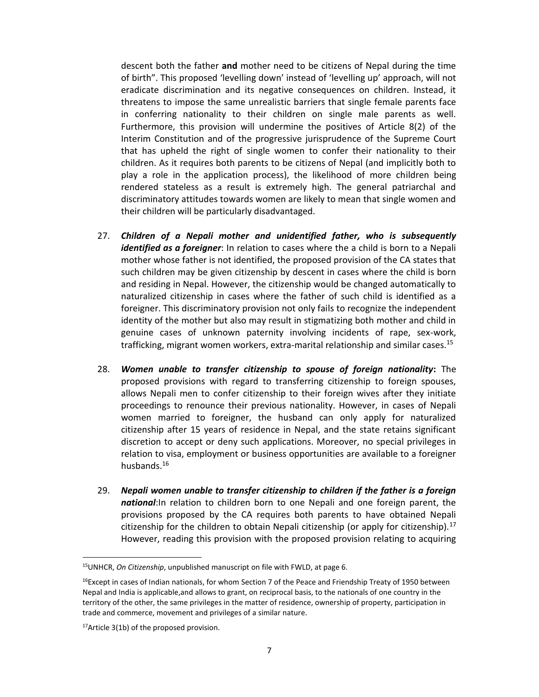descent both the father **and** mother need to be citizens of Nepal during the time of birth". This proposed 'levelling down' instead of 'levelling up' approach, will not eradicate discrimination and its negative consequences on children. Instead, it threatens to impose the same unrealistic barriers that single female parents face in conferring nationality to their children on single male parents as well. Furthermore, this provision will undermine the positives of Article 8(2) of the Interim Constitution and of the progressive jurisprudence of the Supreme Court that has upheld the right of single women to confer their nationality to their children. As it requires both parents to be citizens of Nepal (and implicitly both to play a role in the application process), the likelihood of more children being rendered stateless as a result is extremely high. The general patriarchal and discriminatory attitudes towards women are likely to mean that single women and their children will be particularly disadvantaged.

- 27. *Children of a Nepali mother and unidentified father, who is subsequently identified as a foreigner*: In relation to cases where the a child is born to a Nepali mother whose father is not identified, the proposed provision of the CA states that such children may be given citizenship by descent in cases where the child is born and residing in Nepal. However, the citizenship would be changed automatically to naturalized citizenship in cases where the father of such child is identified as a foreigner. This discriminatory provision not only fails to recognize the independent identity of the mother but also may result in stigmatizing both mother and child in genuine cases of unknown paternity involving incidents of rape, sex-work, trafficking, migrant women workers, extra-marital relationship and similar cases.15
- 28. *Women unable to transfer citizenship to spouse of foreign nationality***:** The proposed provisions with regard to transferring citizenship to foreign spouses, allows Nepali men to confer citizenship to their foreign wives after they initiate proceedings to renounce their previous nationality. However, in cases of Nepali women married to foreigner, the husband can only apply for naturalized citizenship after 15 years of residence in Nepal, and the state retains significant discretion to accept or deny such applications. Moreover, no special privileges in relation to visa, employment or business opportunities are available to a foreigner husbands.16
- 29. *Nepali women unable to transfer citizenship to children if the father is a foreign national*:In relation to children born to one Nepali and one foreign parent, the provisions proposed by the CA requires both parents to have obtained Nepali citizenship for the children to obtain Nepali citizenship (or apply for citizenship).<sup>17</sup> However, reading this provision with the proposed provision relating to acquiring

 <sup>15</sup>UNHCR, *On Citizenship*, unpublished manuscript on file with FWLD, at page 6.

<sup>&</sup>lt;sup>16</sup>Except in cases of Indian nationals, for whom Section 7 of the Peace and Friendship Treaty of 1950 between Nepal and India is applicable,and allows to grant, on reciprocal basis, to the nationals of one country in the territory of the other, the same privileges in the matter of residence, ownership of property, participation in trade and commerce, movement and privileges of a similar nature.

 $17$ Article 3(1b) of the proposed provision.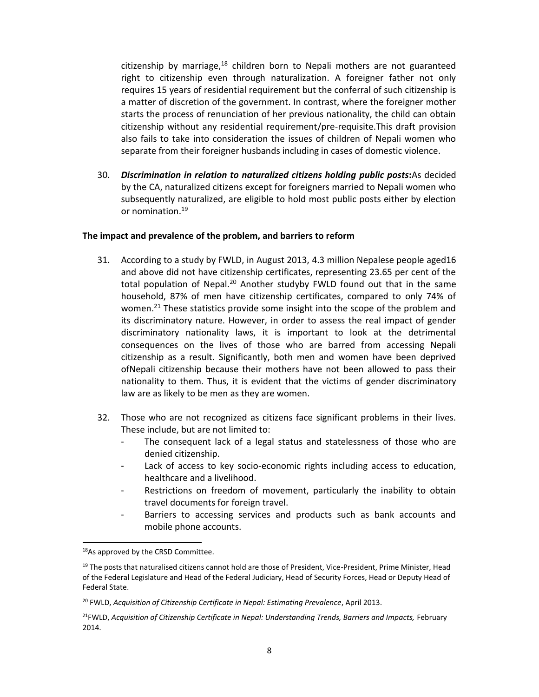citizenship by marriage, $18$  children born to Nepali mothers are not guaranteed right to citizenship even through naturalization. A foreigner father not only requires 15 years of residential requirement but the conferral of such citizenship is a matter of discretion of the government. In contrast, where the foreigner mother starts the process of renunciation of her previous nationality, the child can obtain citizenship without any residential requirement/pre-requisite.This draft provision also fails to take into consideration the issues of children of Nepali women who separate from their foreigner husbands including in cases of domestic violence.

30. *Discrimination in relation to naturalized citizens holding public posts***:**As decided by the CA, naturalized citizens except for foreigners married to Nepali women who subsequently naturalized, are eligible to hold most public posts either by election or nomination.19

#### **The impact and prevalence of the problem, and barriers to reform**

- 31. According to a study by FWLD, in August 2013, 4.3 million Nepalese people aged16 and above did not have citizenship certificates, representing 23.65 per cent of the total population of Nepal.<sup>20</sup> Another studyby FWLD found out that in the same household, 87% of men have citizenship certificates, compared to only 74% of women.<sup>21</sup> These statistics provide some insight into the scope of the problem and its discriminatory nature. However, in order to assess the real impact of gender discriminatory nationality laws, it is important to look at the detrimental consequences on the lives of those who are barred from accessing Nepali citizenship as a result. Significantly, both men and women have been deprived ofNepali citizenship because their mothers have not been allowed to pass their nationality to them. Thus, it is evident that the victims of gender discriminatory law are as likely to be men as they are women.
- 32. Those who are not recognized as citizens face significant problems in their lives. These include, but are not limited to:
	- The consequent lack of a legal status and statelessness of those who are denied citizenship.
	- Lack of access to key socio-economic rights including access to education, healthcare and a livelihood.
	- Restrictions on freedom of movement, particularly the inability to obtain travel documents for foreign travel.
	- Barriers to accessing services and products such as bank accounts and mobile phone accounts.

<sup>&</sup>lt;sup>18</sup>As approved by the CRSD Committee.

<sup>&</sup>lt;sup>19</sup> The posts that naturalised citizens cannot hold are those of President, Vice-President, Prime Minister, Head of the Federal Legislature and Head of the Federal Judiciary, Head of Security Forces, Head or Deputy Head of Federal State.

<sup>20</sup> FWLD, *Acquisition of Citizenship Certificate in Nepal: Estimating Prevalence*, April 2013.

<sup>&</sup>lt;sup>21</sup>FWLD, Acquisition of Citizenship Certificate in Nepal: Understanding Trends, Barriers and Impacts, February 2014.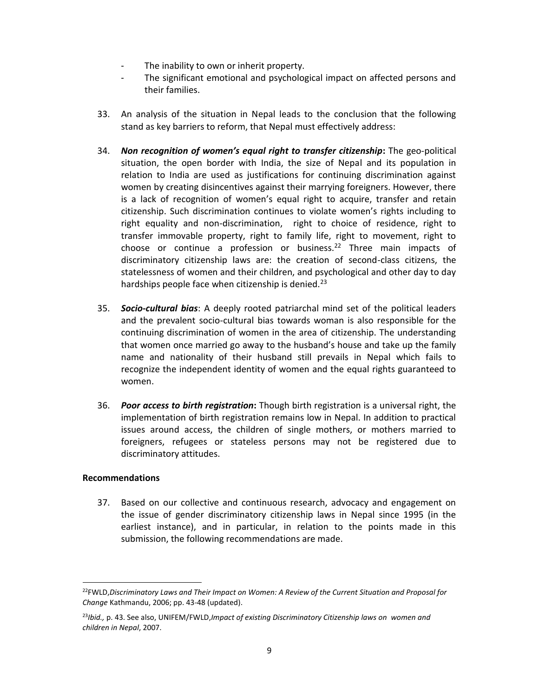- The inability to own or inherit property.
- The significant emotional and psychological impact on affected persons and their families.
- 33. An analysis of the situation in Nepal leads to the conclusion that the following stand as key barriers to reform, that Nepal must effectively address:
- 34. *Non recognition of women's equal right to transfer citizenship***:** The geo-political situation, the open border with India, the size of Nepal and its population in relation to India are used as justifications for continuing discrimination against women by creating disincentives against their marrying foreigners. However, there is a lack of recognition of women's equal right to acquire, transfer and retain citizenship. Such discrimination continues to violate women's rights including to right equality and non-discrimination, right to choice of residence, right to transfer immovable property, right to family life, right to movement, right to choose or continue a profession or business.<sup>22</sup> Three main impacts of discriminatory citizenship laws are: the creation of second-class citizens, the statelessness of women and their children, and psychological and other day to day hardships people face when citizenship is denied.<sup>23</sup>
- 35. *Socio-cultural bias*: A deeply rooted patriarchal mind set of the political leaders and the prevalent socio-cultural bias towards woman is also responsible for the continuing discrimination of women in the area of citizenship. The understanding that women once married go away to the husband's house and take up the family name and nationality of their husband still prevails in Nepal which fails to recognize the independent identity of women and the equal rights guaranteed to women.
- 36. *Poor access to birth registration***:** Though birth registration is a universal right, the implementation of birth registration remains low in Nepal. In addition to practical issues around access, the children of single mothers, or mothers married to foreigners, refugees or stateless persons may not be registered due to discriminatory attitudes.

## **Recommendations**

37. Based on our collective and continuous research, advocacy and engagement on the issue of gender discriminatory citizenship laws in Nepal since 1995 (in the earliest instance), and in particular, in relation to the points made in this submission, the following recommendations are made.

 <sup>22</sup>FWLD,*Discriminatory Laws and Their Impact on Women: A Review of the Current Situation and Proposal for Change* Kathmandu, 2006; pp. 43-48 (updated).

<sup>23</sup>*Ibid.,* p. 43. See also, UNIFEM/FWLD,*Impact of existing Discriminatory Citizenship laws on women and children in Nepal*, 2007.